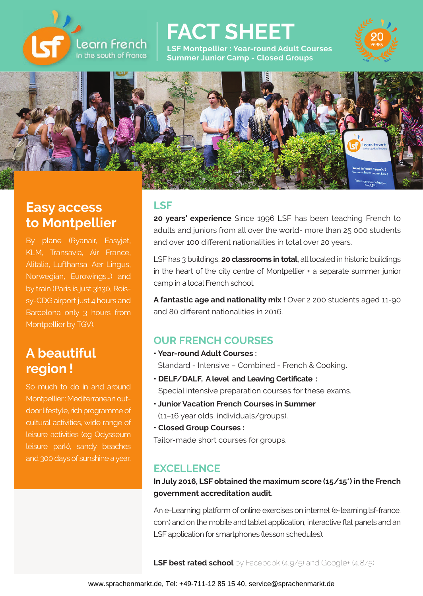

# **FACT SHEET**

**LSF Montpellier : Year-round Adult Courses Summer Junior Camp - Closed Groups**





# **Easy access to Montpellier**

By plane (Ryanair, Easyjet, KLM, Transavia, Air France, Alitalia, Lufthansa, Aer Lingus, Norwegian, Eurowings...) and by train (Paris is just 3h30, Roissy-CDG airport just 4 hours and Barcelona only 3 hours from Montpellier by TGV).

# **A beautiful region !**

So much to do in and around Montpellier : Mediterranean outdoor lifestyle, rich programme of cultural activities, wide range of leisure activities (eg Odysseum leisure park), sandy beaches and 300 days of sunshine a year.

#### **LSF**

**20 years' experience** Since 1996 LSF has been teaching French to adults and juniors from all over the world- more than 25 000 students and over 100 different nationalities in total over 20 years.

LSF has 3 buildings, **20 classrooms in total,** all located in historic buildings in the heart of the city centre of Montpellier + a separate summer junior camp in a local French school.

**A fantastic age and nationality mix** ! Over 2 200 students aged 11-90 and 80 different nationalities in 2016.

## **OUR FRENCH COURSES**

- **Year-round Adult Courses :** Standard - Intensive – Combined - French & Cooking.
- DELF/DALF, A level and Leaving Certificate : Special intensive preparation courses for these exams.
- **Junior Vacation French Courses in Summer** (11–16 year olds, individuals/groups).
- **Closed Group Courses :**

Tailor-made short courses for groups.

### **EXCELLENCE**

#### **In July 2016, LSF obtained the maximum score (15/15\*) in the French government accreditation audit.**

An e-Learning platform of online exercises on internet (e-learning.lsf-france. com) and on the mobile and tablet application, interactive flat panels and an LSF application for smartphones (lesson schedules).

**LSF best rated school** by Facebook (4,9/5) and Google+ (4,8/5)